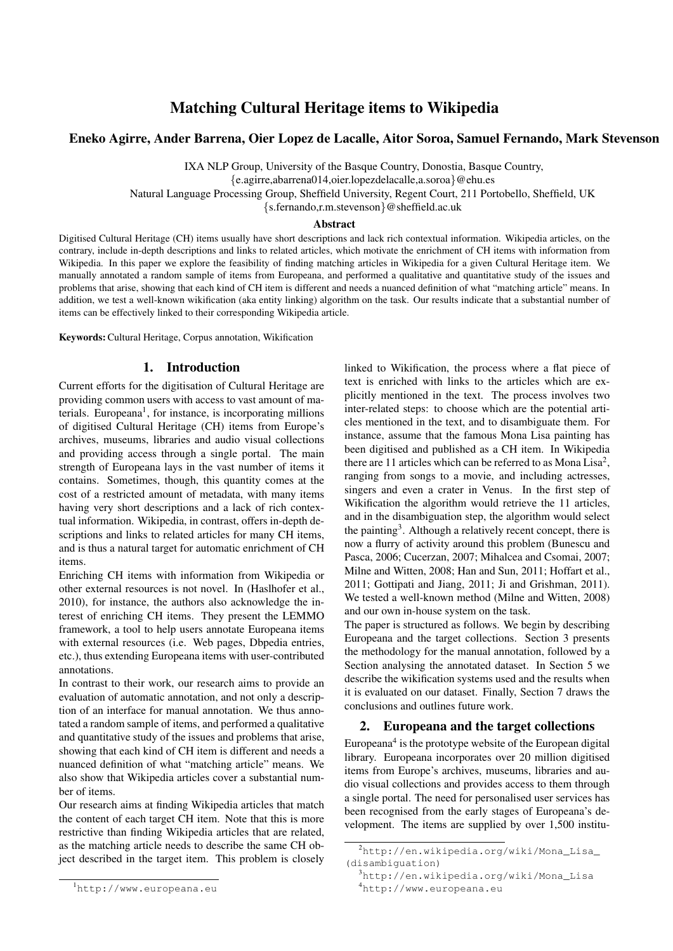# Matching Cultural Heritage items to Wikipedia

## Eneko Agirre, Ander Barrena, Oier Lopez de Lacalle, Aitor Soroa, Samuel Fernando, Mark Stevenson

IXA NLP Group, University of the Basque Country, Donostia, Basque Country,

{e.agirre,abarrena014,oier.lopezdelacalle,a.soroa}@ehu.es

Natural Language Processing Group, Sheffield University, Regent Court, 211 Portobello, Sheffield, UK

{s.fernando,r.m.stevenson}@sheffield.ac.uk

#### Abstract

Digitised Cultural Heritage (CH) items usually have short descriptions and lack rich contextual information. Wikipedia articles, on the contrary, include in-depth descriptions and links to related articles, which motivate the enrichment of CH items with information from Wikipedia. In this paper we explore the feasibility of finding matching articles in Wikipedia for a given Cultural Heritage item. We manually annotated a random sample of items from Europeana, and performed a qualitative and quantitative study of the issues and problems that arise, showing that each kind of CH item is different and needs a nuanced definition of what "matching article" means. In addition, we test a well-known wikification (aka entity linking) algorithm on the task. Our results indicate that a substantial number of items can be effectively linked to their corresponding Wikipedia article.

Keywords:Cultural Heritage, Corpus annotation, Wikification

## 1. Introduction

Current efforts for the digitisation of Cultural Heritage are providing common users with access to vast amount of materials. Europeana<sup>1</sup>, for instance, is incorporating millions of digitised Cultural Heritage (CH) items from Europe's archives, museums, libraries and audio visual collections and providing access through a single portal. The main strength of Europeana lays in the vast number of items it contains. Sometimes, though, this quantity comes at the cost of a restricted amount of metadata, with many items having very short descriptions and a lack of rich contextual information. Wikipedia, in contrast, offers in-depth descriptions and links to related articles for many CH items, and is thus a natural target for automatic enrichment of CH items.

Enriching CH items with information from Wikipedia or other external resources is not novel. In (Haslhofer et al., 2010), for instance, the authors also acknowledge the interest of enriching CH items. They present the LEMMO framework, a tool to help users annotate Europeana items with external resources (i.e. Web pages, Dbpedia entries, etc.), thus extending Europeana items with user-contributed annotations.

In contrast to their work, our research aims to provide an evaluation of automatic annotation, and not only a description of an interface for manual annotation. We thus annotated a random sample of items, and performed a qualitative and quantitative study of the issues and problems that arise, showing that each kind of CH item is different and needs a nuanced definition of what "matching article" means. We also show that Wikipedia articles cover a substantial number of items.

Our research aims at finding Wikipedia articles that match the content of each target CH item. Note that this is more restrictive than finding Wikipedia articles that are related, as the matching article needs to describe the same CH object described in the target item. This problem is closely

linked to Wikification, the process where a flat piece of text is enriched with links to the articles which are explicitly mentioned in the text. The process involves two inter-related steps: to choose which are the potential articles mentioned in the text, and to disambiguate them. For instance, assume that the famous Mona Lisa painting has been digitised and published as a CH item. In Wikipedia there are 11 articles which can be referred to as Mona Lisa<sup>2</sup>, ranging from songs to a movie, and including actresses, singers and even a crater in Venus. In the first step of Wikification the algorithm would retrieve the 11 articles, and in the disambiguation step, the algorithm would select the painting<sup>3</sup>. Although a relatively recent concept, there is now a flurry of activity around this problem (Bunescu and Pasca, 2006; Cucerzan, 2007; Mihalcea and Csomai, 2007; Milne and Witten, 2008; Han and Sun, 2011; Hoffart et al., 2011; Gottipati and Jiang, 2011; Ji and Grishman, 2011). We tested a well-known method (Milne and Witten, 2008) and our own in-house system on the task.

The paper is structured as follows. We begin by describing Europeana and the target collections. Section 3 presents the methodology for the manual annotation, followed by a Section analysing the annotated dataset. In Section 5 we describe the wikification systems used and the results when it is evaluated on our dataset. Finally, Section 7 draws the conclusions and outlines future work.

## 2. Europeana and the target collections

Europeana<sup>4</sup> is the prototype website of the European digital library. Europeana incorporates over 20 million digitised items from Europe's archives, museums, libraries and audio visual collections and provides access to them through a single portal. The need for personalised user services has been recognised from the early stages of Europeana's development. The items are supplied by over 1,500 institu-

<sup>1</sup>http://www.europeana.eu

<sup>2</sup>http://en.wikipedia.org/wiki/Mona\_Lisa\_ (disambiguation)

<sup>3</sup>http://en.wikipedia.org/wiki/Mona\_Lisa <sup>4</sup>http://www.europeana.eu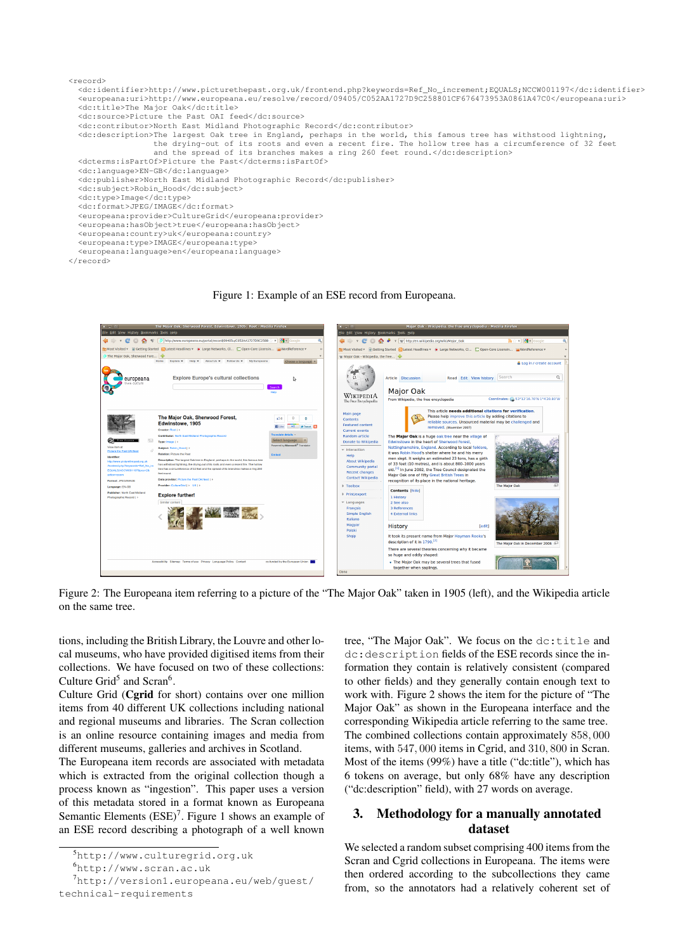

```
</record>
```
#### Figure 1: Example of an ESE record from Europeana.



Figure 2: The Europeana item referring to a picture of the "The Major Oak" taken in 1905 (left), and the Wikipedia article on the same tree.

tions, including the British Library, the Louvre and other local museums, who have provided digitised items from their collections. We have focused on two of these collections: Culture Grid<sup>5</sup> and Scran<sup>6</sup>.

Culture Grid (Cgrid for short) contains over one million items from 40 different UK collections including national and regional museums and libraries. The Scran collection is an online resource containing images and media from different museums, galleries and archives in Scotland.

The Europeana item records are associated with metadata which is extracted from the original collection though a process known as "ingestion". This paper uses a version of this metadata stored in a format known as Europeana Semantic Elements  $(ESE)^7$ . Figure 1 shows an example of an ESE record describing a photograph of a well known

tree, "The Major Oak". We focus on the dc:title and dc:description fields of the ESE records since the information they contain is relatively consistent (compared to other fields) and they generally contain enough text to work with. Figure 2 shows the item for the picture of "The Major Oak" as shown in the Europeana interface and the corresponding Wikipedia article referring to the same tree. The combined collections contain approximately 858, 000 items, with 547, 000 items in Cgrid, and 310, 800 in Scran. Most of the items (99%) have a title ("dc:title"), which has 6 tokens on average, but only 68% have any description ("dc:description" field), with 27 words on average.

# 3. Methodology for a manually annotated dataset

We selected a random subset comprising 400 items from the Scran and Cgrid collections in Europeana. The items were then ordered according to the subcollections they came from, so the annotators had a relatively coherent set of

<sup>5</sup>http://www.culturegrid.org.uk

<sup>6</sup>http://www.scran.ac.uk

<sup>7</sup>http://version1.europeana.eu/web/guest/ technical-requirements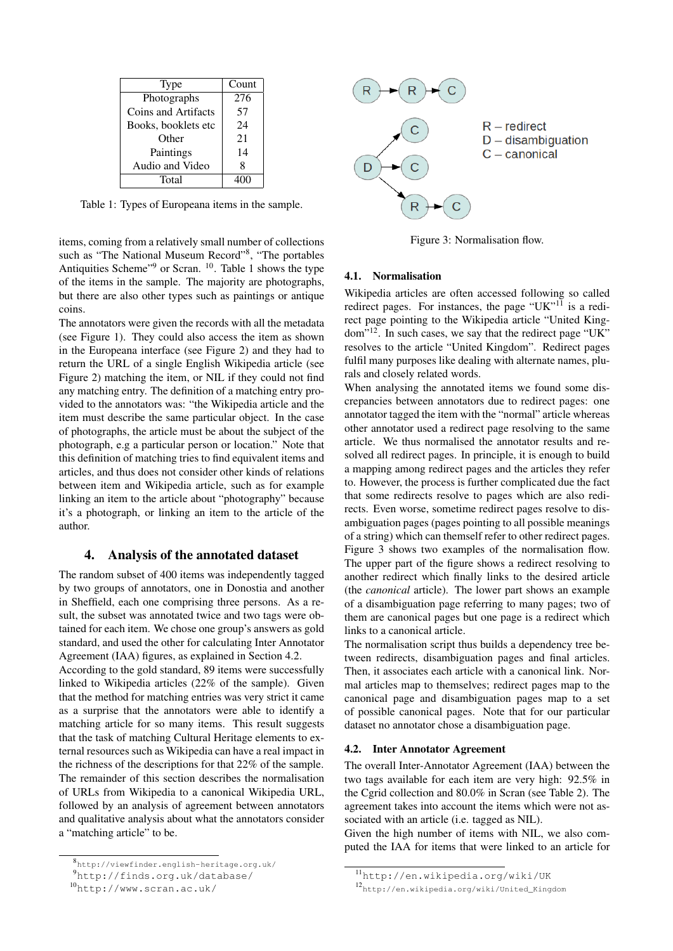| Type                | Count |
|---------------------|-------|
| Photographs         | 276   |
| Coins and Artifacts | 57    |
| Books, booklets etc | 24    |
| Other               | 21    |
| Paintings           | 14    |
| Audio and Video     | Ջ     |
| Total               |       |

Table 1: Types of Europeana items in the sample.

items, coming from a relatively small number of collections such as "The National Museum Record"<sup>8</sup>, "The portables Antiquities Scheme"<sup>9</sup> or Scran. <sup>10</sup>. Table 1 shows the type of the items in the sample. The majority are photographs, but there are also other types such as paintings or antique coins.

The annotators were given the records with all the metadata (see Figure 1). They could also access the item as shown in the Europeana interface (see Figure 2) and they had to return the URL of a single English Wikipedia article (see Figure 2) matching the item, or NIL if they could not find any matching entry. The definition of a matching entry provided to the annotators was: "the Wikipedia article and the item must describe the same particular object. In the case of photographs, the article must be about the subject of the photograph, e.g a particular person or location." Note that this definition of matching tries to find equivalent items and articles, and thus does not consider other kinds of relations between item and Wikipedia article, such as for example linking an item to the article about "photography" because it's a photograph, or linking an item to the article of the author.

#### 4. Analysis of the annotated dataset

The random subset of 400 items was independently tagged by two groups of annotators, one in Donostia and another in Sheffield, each one comprising three persons. As a result, the subset was annotated twice and two tags were obtained for each item. We chose one group's answers as gold standard, and used the other for calculating Inter Annotator Agreement (IAA) figures, as explained in Section 4.2.

According to the gold standard, 89 items were successfully linked to Wikipedia articles (22% of the sample). Given that the method for matching entries was very strict it came as a surprise that the annotators were able to identify a matching article for so many items. This result suggests that the task of matching Cultural Heritage elements to external resources such as Wikipedia can have a real impact in the richness of the descriptions for that 22% of the sample. The remainder of this section describes the normalisation of URLs from Wikipedia to a canonical Wikipedia URL, followed by an analysis of agreement between annotators and qualitative analysis about what the annotators consider a "matching article" to be.



<sup>9</sup>http://finds.org.uk/database/



Figure 3: Normalisation flow.

# 4.1. Normalisation

Wikipedia articles are often accessed following so called redirect pages. For instances, the page "UK"<sup>11</sup> is a redirect page pointing to the Wikipedia article "United Kingdom"12. In such cases, we say that the redirect page "UK" resolves to the article "United Kingdom". Redirect pages fulfil many purposes like dealing with alternate names, plurals and closely related words.

When analysing the annotated items we found some discrepancies between annotators due to redirect pages: one annotator tagged the item with the "normal" article whereas other annotator used a redirect page resolving to the same article. We thus normalised the annotator results and resolved all redirect pages. In principle, it is enough to build a mapping among redirect pages and the articles they refer to. However, the process is further complicated due the fact that some redirects resolve to pages which are also redirects. Even worse, sometime redirect pages resolve to disambiguation pages (pages pointing to all possible meanings of a string) which can themself refer to other redirect pages. Figure 3 shows two examples of the normalisation flow. The upper part of the figure shows a redirect resolving to another redirect which finally links to the desired article (the *canonical* article). The lower part shows an example of a disambiguation page referring to many pages; two of them are canonical pages but one page is a redirect which links to a canonical article.

The normalisation script thus builds a dependency tree between redirects, disambiguation pages and final articles. Then, it associates each article with a canonical link. Normal articles map to themselves; redirect pages map to the canonical page and disambiguation pages map to a set of possible canonical pages. Note that for our particular dataset no annotator chose a disambiguation page.

## 4.2. Inter Annotator Agreement

The overall Inter-Annotator Agreement (IAA) between the two tags available for each item are very high: 92.5% in the Cgrid collection and 80.0% in Scran (see Table 2). The agreement takes into account the items which were not associated with an article (i.e. tagged as NIL).

Given the high number of items with NIL, we also computed the IAA for items that were linked to an article for

<sup>10</sup>http://www.scran.ac.uk/

<sup>11</sup>http://en.wikipedia.org/wiki/UK

<sup>12</sup>http://en.wikipedia.org/wiki/United\_Kingdom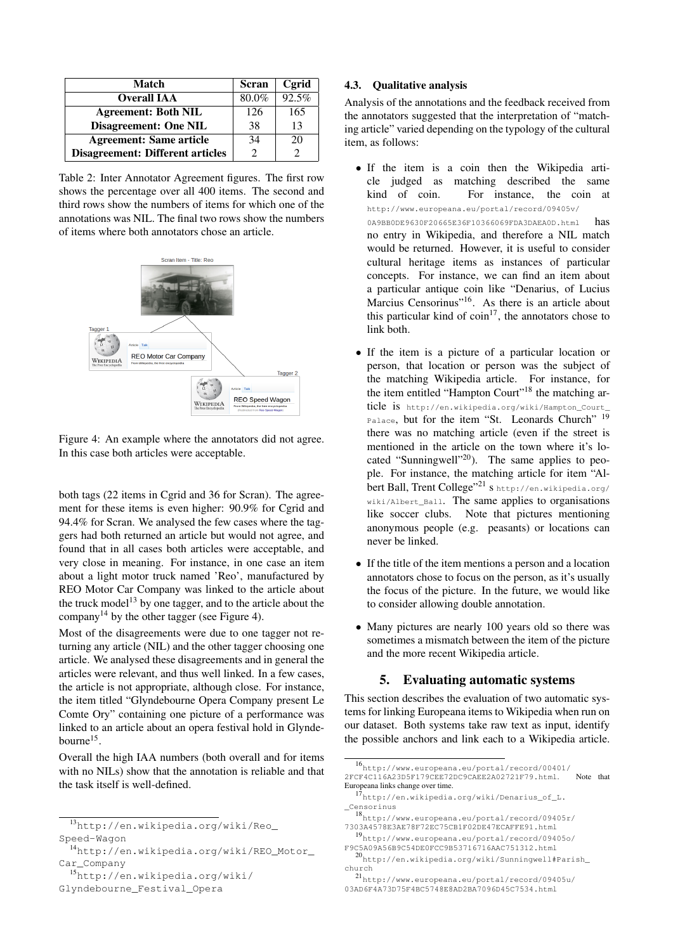| Match                                   | <b>Scran</b> | Cgrid |
|-----------------------------------------|--------------|-------|
| <b>Overall IAA</b>                      | 80.0%        | 92.5% |
| <b>Agreement: Both NIL</b>              | 126          | 165   |
| <b>Disagreement: One NIL</b>            | 38           | 13    |
| <b>Agreement: Same article</b>          | 34           | 20    |
| <b>Disagreement: Different articles</b> | 2            |       |

Table 2: Inter Annotator Agreement figures. The first row shows the percentage over all 400 items. The second and third rows show the numbers of items for which one of the annotations was NIL. The final two rows show the numbers of items where both annotators chose an article.



Figure 4: An example where the annotators did not agree. In this case both articles were acceptable.

both tags (22 items in Cgrid and 36 for Scran). The agreement for these items is even higher: 90.9% for Cgrid and 94.4% for Scran. We analysed the few cases where the taggers had both returned an article but would not agree, and found that in all cases both articles were acceptable, and very close in meaning. For instance, in one case an item about a light motor truck named 'Reo', manufactured by REO Motor Car Company was linked to the article about the truck model<sup>13</sup> by one tagger, and to the article about the company<sup>14</sup> by the other tagger (see Figure 4).

Most of the disagreements were due to one tagger not returning any article (NIL) and the other tagger choosing one article. We analysed these disagreements and in general the articles were relevant, and thus well linked. In a few cases, the article is not appropriate, although close. For instance, the item titled "Glyndebourne Opera Company present Le Comte Ory" containing one picture of a performance was linked to an article about an opera festival hold in Glyndebourne<sup>15</sup>.

Overall the high IAA numbers (both overall and for items with no NILs) show that the annotation is reliable and that the task itself is well-defined.

<sup>15</sup>http://en.wikipedia.org/wiki/

Glyndebourne\_Festival\_Opera

## 4.3. Qualitative analysis

Analysis of the annotations and the feedback received from the annotators suggested that the interpretation of "matching article" varied depending on the typology of the cultural item, as follows:

- If the item is a coin then the Wikipedia article judged as matching described the same<br>kind of coin. For instance, the coin at For instance, the coin at http://www.europeana.eu/portal/record/09405v/ 0A9BB0DE9630F20665E36F10366069FDA3DAEA0D.html has no entry in Wikipedia, and therefore a NIL match would be returned. However, it is useful to consider cultural heritage items as instances of particular concepts. For instance, we can find an item about a particular antique coin like "Denarius, of Lucius Marcius Censorinus"<sup>16</sup>. As there is an article about this particular kind of  $\text{coin}^{17}$ , the annotators chose to link both.
- If the item is a picture of a particular location or person, that location or person was the subject of the matching Wikipedia article. For instance, for the item entitled "Hampton Court"<sup>18</sup> the matching article is http://en.wikipedia.org/wiki/Hampton\_Court\_ Palace, but for the item "St. Leonards Church" 19 there was no matching article (even if the street is mentioned in the article on the town where it's located "Sunningwell"<sup>20</sup>). The same applies to people. For instance, the matching article for item "Albert Ball, Trent College"<sup>21</sup> Shttp://en.wikipedia.org/ wiki/Albert\_Ball. The same applies to organisations like soccer clubs. Note that pictures mentioning anonymous people (e.g. peasants) or locations can never be linked.
- If the title of the item mentions a person and a location annotators chose to focus on the person, as it's usually the focus of the picture. In the future, we would like to consider allowing double annotation.
- Many pictures are nearly 100 years old so there was sometimes a mismatch between the item of the picture and the more recent Wikipedia article.

# 5. Evaluating automatic systems

This section describes the evaluation of two automatic systems for linking Europeana items to Wikipedia when run on our dataset. Both systems take raw text as input, identify the possible anchors and link each to a Wikipedia article.

<sup>13</sup>http://en.wikipedia.org/wiki/Reo\_ Speed-Wagon

<sup>14</sup>http://en.wikipedia.org/wiki/REO\_Motor\_ Car\_Company

<sup>16</sup>http://www.europeana.eu/portal/record/00401/ 2FCF4C116A23D5F179CEE72DC9CAEE2A02721F79.html. Note that Europeana links change over time.

<sup>17</sup>http://en.wikipedia.org/wiki/Denarius\_of\_L. Censorinus

<sup>18</sup>http://www.europeana.eu/portal/record/09405r/ 7303A4578E3AE78F72EC75CB1F02DE47ECAFFE91.html

<sup>19</sup>http://www.europeana.eu/portal/record/09405o/ F9C5A09A56B9C54DE0FCC9B53716716AAC751312.html

<sup>20</sup>http://en.wikipedia.org/wiki/Sunningwell#Parish\_ church

<sup>21</sup>http://www.europeana.eu/portal/record/09405u/ 03AD6F4A73D75F4BC5748E8AD2BA7096D45C7534.html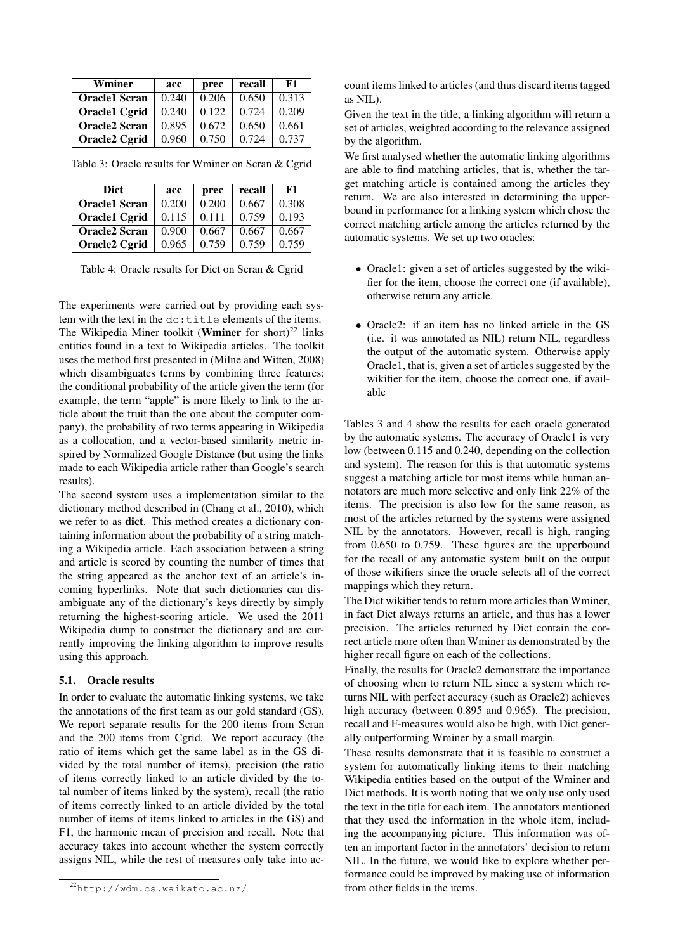| Wminer               | acc   | prec  | recall | F1    |
|----------------------|-------|-------|--------|-------|
| <b>Oracle1</b> Scran | 0.240 | 0.206 | 0.650  | 0.313 |
| <b>Oracle1 Cgrid</b> | 0.240 | 0.122 | 0.724  | 0.209 |
| <b>Oracle2 Scran</b> | 0.895 | 0.672 | 0.650  | 0.661 |
| <b>Oracle2 Cgrid</b> | 0.960 | 0.750 | 0.724  | 0.737 |

Table 3: Oracle results for Wminer on Scran & Cgrid

| acc   | prec  | recall | F1    |
|-------|-------|--------|-------|
| 0.200 | 0.200 | 0.667  | 0.308 |
| 0.115 | 0.111 | 0.759  | 0.193 |
| 0.900 | 0.667 | 0.667  | 0.667 |
| 0.965 | 0.759 | 0.759  | 0.759 |
|       |       |        |       |

Table 4: Oracle results for Dict on Scran & Cgrid

The experiments were carried out by providing each system with the text in the dc:title elements of the items. The Wikipedia Miner toolkit (**Wminer** for short)<sup>22</sup> links entities found in a text to Wikipedia articles. The toolkit uses the method first presented in (Milne and Witten, 2008) which disambiguates terms by combining three features: the conditional probability of the article given the term (for example, the term "apple" is more likely to link to the article about the fruit than the one about the computer company), the probability of two terms appearing in Wikipedia as a collocation, and a vector-based similarity metric inspired by Normalized Google Distance (but using the links made to each Wikipedia article rather than Google's search results).

The second system uses a implementation similar to the dictionary method described in (Chang et al., 2010), which we refer to as dict. This method creates a dictionary containing information about the probability of a string matching a Wikipedia article. Each association between a string and article is scored by counting the number of times that the string appeared as the anchor text of an article's incoming hyperlinks. Note that such dictionaries can disambiguate any of the dictionary's keys directly by simply returning the highest-scoring article. We used the 2011 Wikipedia dump to construct the dictionary and are currently improving the linking algorithm to improve results using this approach.

#### 5.1. Oracle results

In order to evaluate the automatic linking systems, we take the annotations of the first team as our gold standard (GS). We report separate results for the 200 items from Scran and the 200 items from Cgrid. We report accuracy (the ratio of items which get the same label as in the GS divided by the total number of items), precision (the ratio of items correctly linked to an article divided by the total number of items linked by the system), recall (the ratio of items correctly linked to an article divided by the total number of items of items linked to articles in the GS) and F1, the harmonic mean of precision and recall. Note that accuracy takes into account whether the system correctly assigns NIL, while the rest of measures only take into account items linked to articles (and thus discard items tagged as NIL).

Given the text in the title, a linking algorithm will return a set of articles, weighted according to the relevance assigned by the algorithm.

We first analysed whether the automatic linking algorithms are able to find matching articles, that is, whether the target matching article is contained among the articles they return. We are also interested in determining the upperbound in performance for a linking system which chose the correct matching article among the articles returned by the automatic systems. We set up two oracles:

- Oracle1: given a set of articles suggested by the wikifier for the item, choose the correct one (if available), otherwise return any article.
- Oracle2: if an item has no linked article in the GS (i.e. it was annotated as NIL) return NIL, regardless the output of the automatic system. Otherwise apply Oracle1, that is, given a set of articles suggested by the wikifier for the item, choose the correct one, if available

Tables 3 and 4 show the results for each oracle generated by the automatic systems. The accuracy of Oracle1 is very low (between 0.115 and 0.240, depending on the collection and system). The reason for this is that automatic systems suggest a matching article for most items while human annotators are much more selective and only link 22% of the items. The precision is also low for the same reason, as most of the articles returned by the systems were assigned NIL by the annotators. However, recall is high, ranging from 0.650 to 0.759. These figures are the upperbound for the recall of any automatic system built on the output of those wikifiers since the oracle selects all of the correct mappings which they return.

The Dict wikifier tends to return more articles than Wminer, in fact Dict always returns an article, and thus has a lower precision. The articles returned by Dict contain the correct article more often than Wminer as demonstrated by the higher recall figure on each of the collections.

Finally, the results for Oracle2 demonstrate the importance of choosing when to return NIL since a system which returns NIL with perfect accuracy (such as Oracle2) achieves high accuracy (between 0.895 and 0.965). The precision, recall and F-measures would also be high, with Dict generally outperforming Wminer by a small margin.

These results demonstrate that it is feasible to construct a system for automatically linking items to their matching Wikipedia entities based on the output of the Wminer and Dict methods. It is worth noting that we only use only used the text in the title for each item. The annotators mentioned that they used the information in the whole item, including the accompanying picture. This information was often an important factor in the annotators' decision to return NIL. In the future, we would like to explore whether performance could be improved by making use of information from other fields in the items.

<sup>22</sup>http://wdm.cs.waikato.ac.nz/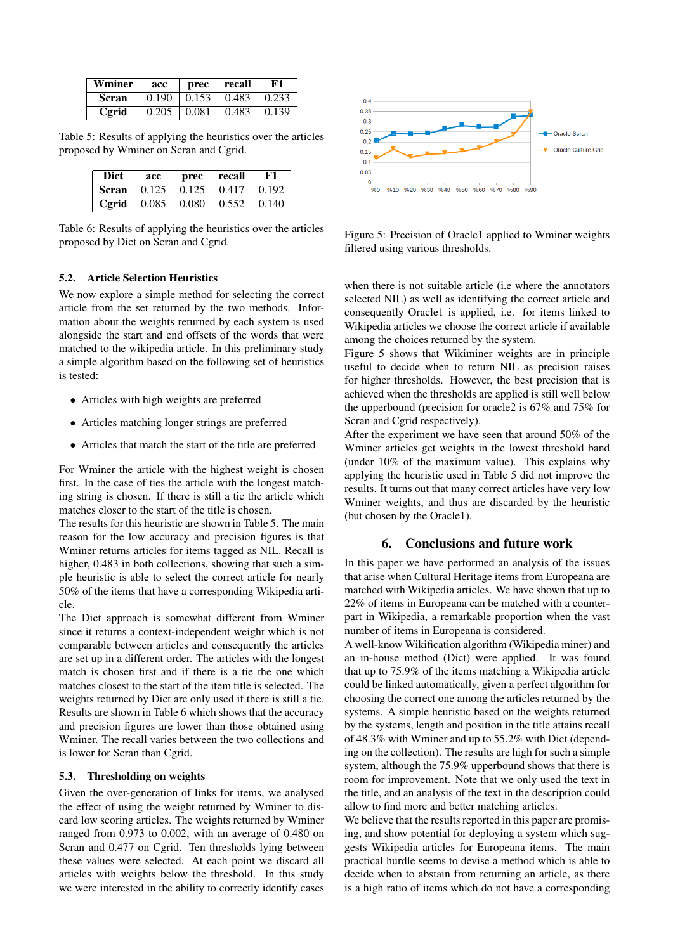| Wminer | acc   | prec  | recall | ${\bf F1}$  |
|--------|-------|-------|--------|-------------|
| Scran  | 0.190 | 0.153 | 0.483  | $\pm 0.233$ |
| Cgrid  | 0.205 | 0.081 | 0.483  | $\pm 0.139$ |

Table 5: Results of applying the heuristics over the articles proposed by Wminer on Scran and Cgrid.

| Dict  | acc   | prec        | recall | F1          |
|-------|-------|-------------|--------|-------------|
| Scran | 0.125 | $\pm 0.125$ | 0.417  | $\pm 0.192$ |
| Cgrid | 0.085 | 0.080       | 0.552  | $\pm 0.140$ |

Table 6: Results of applying the heuristics over the articles proposed by Dict on Scran and Cgrid.

#### 5.2. Article Selection Heuristics

We now explore a simple method for selecting the correct article from the set returned by the two methods. Information about the weights returned by each system is used alongside the start and end offsets of the words that were matched to the wikipedia article. In this preliminary study a simple algorithm based on the following set of heuristics is tested:

- Articles with high weights are preferred
- Articles matching longer strings are preferred
- Articles that match the start of the title are preferred

For Wminer the article with the highest weight is chosen first. In the case of ties the article with the longest matching string is chosen. If there is still a tie the article which matches closer to the start of the title is chosen.

The results for this heuristic are shown in Table 5. The main reason for the low accuracy and precision figures is that Wminer returns articles for items tagged as NIL. Recall is higher, 0.483 in both collections, showing that such a simple heuristic is able to select the correct article for nearly 50% of the items that have a corresponding Wikipedia article.

The Dict approach is somewhat different from Wminer since it returns a context-independent weight which is not comparable between articles and consequently the articles are set up in a different order. The articles with the longest match is chosen first and if there is a tie the one which matches closest to the start of the item title is selected. The weights returned by Dict are only used if there is still a tie. Results are shown in Table 6 which shows that the accuracy and precision figures are lower than those obtained using Wminer. The recall varies between the two collections and is lower for Scran than Cgrid.

#### 5.3. Thresholding on weights

Given the over-generation of links for items, we analysed the effect of using the weight returned by Wminer to discard low scoring articles. The weights returned by Wminer ranged from 0.973 to 0.002, with an average of 0.480 on Scran and 0.477 on Cgrid. Ten thresholds lying between these values were selected. At each point we discard all articles with weights below the threshold. In this study we were interested in the ability to correctly identify cases



Figure 5: Precision of Oracle1 applied to Wminer weights filtered using various thresholds.

when there is not suitable article (i.e where the annotators selected NIL) as well as identifying the correct article and consequently Oracle1 is applied, i.e. for items linked to Wikipedia articles we choose the correct article if available among the choices returned by the system.

Figure 5 shows that Wikiminer weights are in principle useful to decide when to return NIL as precision raises for higher thresholds. However, the best precision that is achieved when the thresholds are applied is still well below the upperbound (precision for oracle2 is 67% and 75% for Scran and Cgrid respectively).

After the experiment we have seen that around 50% of the Wminer articles get weights in the lowest threshold band (under 10% of the maximum value). This explains why applying the heuristic used in Table 5 did not improve the results. It turns out that many correct articles have very low Wminer weights, and thus are discarded by the heuristic (but chosen by the Oracle1).

### 6. Conclusions and future work

In this paper we have performed an analysis of the issues that arise when Cultural Heritage items from Europeana are matched with Wikipedia articles. We have shown that up to 22% of items in Europeana can be matched with a counterpart in Wikipedia, a remarkable proportion when the vast number of items in Europeana is considered.

A well-know Wikification algorithm (Wikipedia miner) and an in-house method (Dict) were applied. It was found that up to 75.9% of the items matching a Wikipedia article could be linked automatically, given a perfect algorithm for choosing the correct one among the articles returned by the systems. A simple heuristic based on the weights returned by the systems, length and position in the title attains recall of 48.3% with Wminer and up to 55.2% with Dict (depending on the collection). The results are high for such a simple system, although the 75.9% upperbound shows that there is room for improvement. Note that we only used the text in the title, and an analysis of the text in the description could allow to find more and better matching articles.

We believe that the results reported in this paper are promising, and show potential for deploying a system which suggests Wikipedia articles for Europeana items. The main practical hurdle seems to devise a method which is able to decide when to abstain from returning an article, as there is a high ratio of items which do not have a corresponding